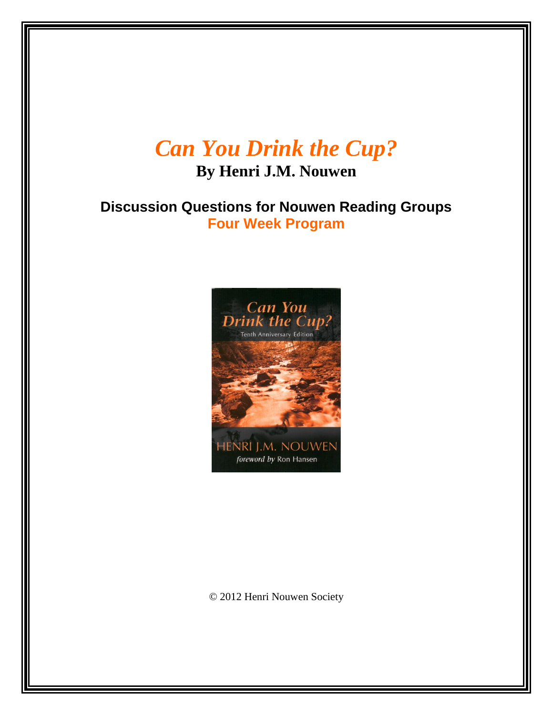# *Can You Drink the Cup?*

**By Henri J.M. Nouwen**

**Discussion Questions for Nouwen Reading Groups Four Week Program**



© 2012 Henri Nouwen Society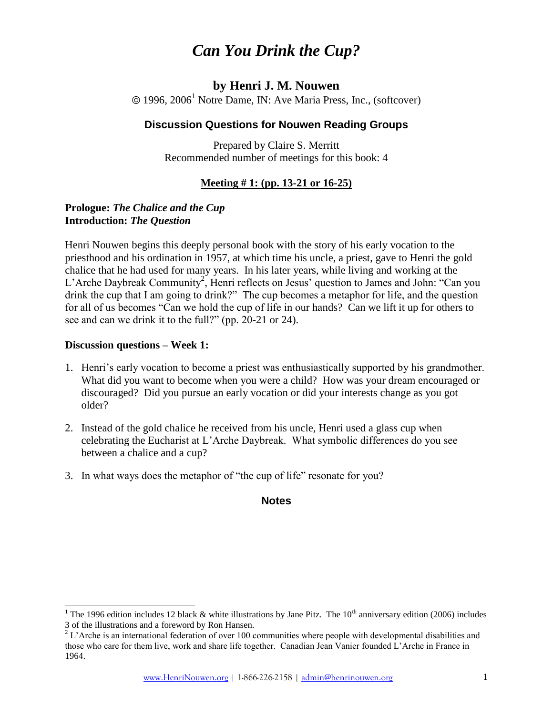## *Can You Drink the Cup?*

#### **by Henri J. M. Nouwen**

 $\odot$  1996, 2006<sup>1</sup> Notre Dame, IN: Ave Maria Press, Inc., (softcover)

#### **Discussion Questions for Nouwen Reading Groups**

Prepared by Claire S. Merritt Recommended number of meetings for this book: 4

#### **Meeting # 1: (pp. 13-21 or 16-25)**

#### **Prologue:** *The Chalice and the Cup* **Introduction:** *The Question*

Henri Nouwen begins this deeply personal book with the story of his early vocation to the priesthood and his ordination in 1957, at which time his uncle, a priest, gave to Henri the gold chalice that he had used for many years. In his later years, while living and working at the L'Arche Daybreak Community<sup>2</sup>, Henri reflects on Jesus' question to James and John: "Can you drink the cup that I am going to drink?" The cup becomes a metaphor for life, and the question for all of us becomes "Can we hold the cup of life in our hands? Can we lift it up for others to see and can we drink it to the full?" (pp. 20-21 or 24).

#### **Discussion questions – Week 1:**

l

- 1. Henri's early vocation to become a priest was enthusiastically supported by his grandmother. What did you want to become when you were a child? How was your dream encouraged or discouraged? Did you pursue an early vocation or did your interests change as you got older?
- 2. Instead of the gold chalice he received from his uncle, Henri used a glass cup when celebrating the Eucharist at L'Arche Daybreak. What symbolic differences do you see between a chalice and a cup?
- 3. In what ways does the metaphor of "the cup of life" resonate for you?

#### **Notes**

<sup>&</sup>lt;sup>1</sup> The 1996 edition includes 12 black & white illustrations by Jane Pitz. The 10<sup>th</sup> anniversary edition (2006) includes 3 of the illustrations and a foreword by Ron Hansen.

 $2^2$  L'Arche is an international federation of over 100 communities where people with developmental disabilities and those who care for them live, work and share life together. Canadian Jean Vanier founded L'Arche in France in 1964.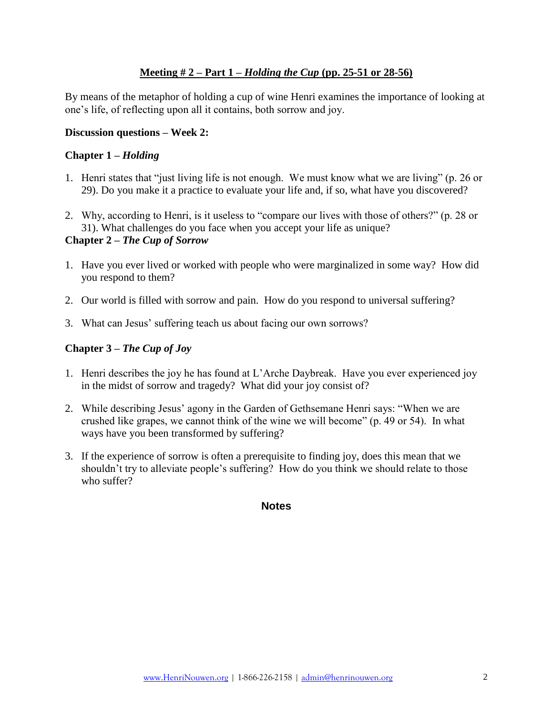#### **Meeting # 2 – Part 1 –** *Holding the Cup* **(pp. 25-51 or 28-56)**

By means of the metaphor of holding a cup of wine Henri examines the importance of looking at one's life, of reflecting upon all it contains, both sorrow and joy.

#### **Discussion questions – Week 2:**

#### **Chapter 1 –** *Holding*

- 1. Henri states that "just living life is not enough. We must know what we are living" (p. 26 or 29). Do you make it a practice to evaluate your life and, if so, what have you discovered?
- 2. Why, according to Henri, is it useless to "compare our lives with those of others?" (p. 28 or 31). What challenges do you face when you accept your life as unique?

#### **Chapter 2 –** *The Cup of Sorrow*

- 1. Have you ever lived or worked with people who were marginalized in some way? How did you respond to them?
- 2. Our world is filled with sorrow and pain. How do you respond to universal suffering?
- 3. What can Jesus' suffering teach us about facing our own sorrows?

#### **Chapter 3 –** *The Cup of Joy*

- 1. Henri describes the joy he has found at L'Arche Daybreak. Have you ever experienced joy in the midst of sorrow and tragedy? What did your joy consist of?
- 2. While describing Jesus' agony in the Garden of Gethsemane Henri says: "When we are crushed like grapes, we cannot think of the wine we will become" (p. 49 or 54). In what ways have you been transformed by suffering?
- 3. If the experience of sorrow is often a prerequisite to finding joy, does this mean that we shouldn't try to alleviate people's suffering? How do you think we should relate to those who suffer?

#### **Notes**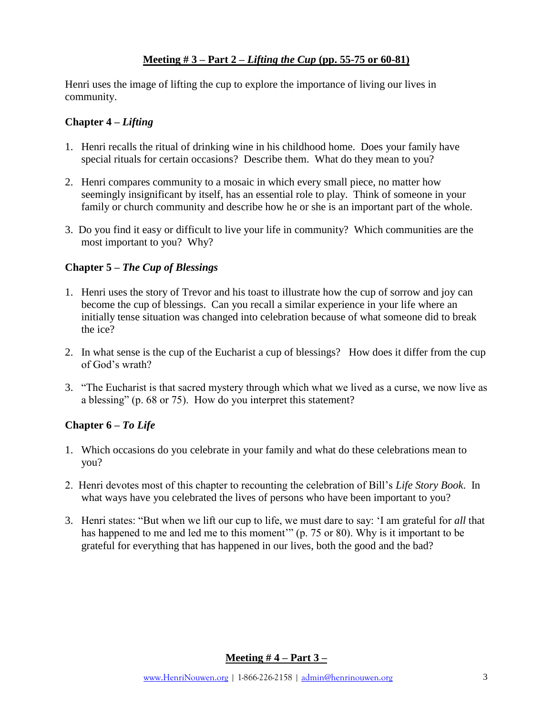#### **Meeting # 3 – Part 2 –** *Lifting the Cup* **(pp. 55-75 or 60-81)**

Henri uses the image of lifting the cup to explore the importance of living our lives in community.

#### **Chapter 4 –** *Lifting*

- 1. Henri recalls the ritual of drinking wine in his childhood home. Does your family have special rituals for certain occasions? Describe them. What do they mean to you?
- 2. Henri compares community to a mosaic in which every small piece, no matter how seemingly insignificant by itself, has an essential role to play. Think of someone in your family or church community and describe how he or she is an important part of the whole.
- 3. Do you find it easy or difficult to live your life in community? Which communities are the most important to you? Why?

#### **Chapter 5 –** *The Cup of Blessings*

- 1. Henri uses the story of Trevor and his toast to illustrate how the cup of sorrow and joy can become the cup of blessings. Can you recall a similar experience in your life where an initially tense situation was changed into celebration because of what someone did to break the ice?
- 2. In what sense is the cup of the Eucharist a cup of blessings? How does it differ from the cup of God's wrath?
- 3. "The Eucharist is that sacred mystery through which what we lived as a curse, we now live as a blessing" (p. 68 or 75). How do you interpret this statement?

#### **Chapter 6 –** *To Life*

- 1. Which occasions do you celebrate in your family and what do these celebrations mean to you?
- 2. Henri devotes most of this chapter to recounting the celebration of Bill's *Life Story Book*. In what ways have you celebrated the lives of persons who have been important to you?
- 3. Henri states: "But when we lift our cup to life, we must dare to say: 'I am grateful for *all* that has happened to me and led me to this moment" (p. 75 or 80). Why is it important to be grateful for everything that has happened in our lives, both the good and the bad?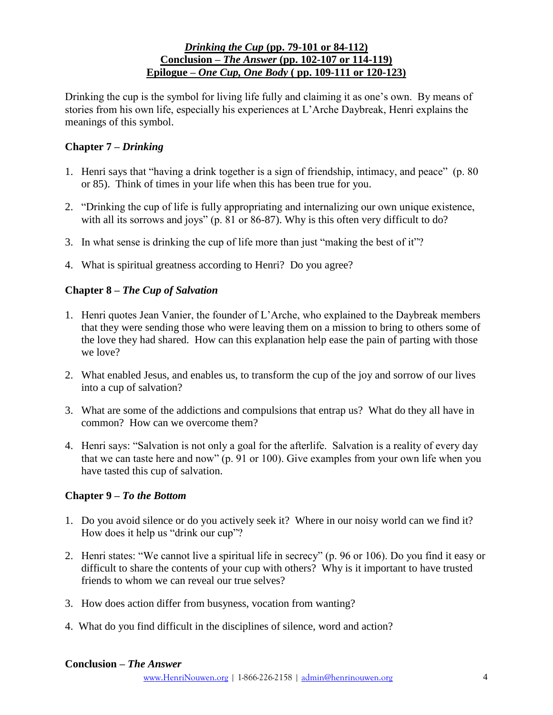#### *Drinking the Cup* **(pp. 79-101 or 84-112) Conclusion –** *The Answer* **(pp. 102-107 or 114-119) Epilogue –** *One Cup, One Body* **( pp. 109-111 or 120-123)**

Drinking the cup is the symbol for living life fully and claiming it as one's own. By means of stories from his own life, especially his experiences at L'Arche Daybreak, Henri explains the meanings of this symbol.

#### **Chapter 7 –** *Drinking*

- 1. Henri says that "having a drink together is a sign of friendship, intimacy, and peace" (p. 80 or 85). Think of times in your life when this has been true for you.
- 2. "Drinking the cup of life is fully appropriating and internalizing our own unique existence, with all its sorrows and joys" (p. 81 or 86-87). Why is this often very difficult to do?
- 3. In what sense is drinking the cup of life more than just "making the best of it"?
- 4. What is spiritual greatness according to Henri? Do you agree?

#### **Chapter 8 –** *The Cup of Salvation*

- 1. Henri quotes Jean Vanier, the founder of L'Arche, who explained to the Daybreak members that they were sending those who were leaving them on a mission to bring to others some of the love they had shared. How can this explanation help ease the pain of parting with those we love?
- 2. What enabled Jesus, and enables us, to transform the cup of the joy and sorrow of our lives into a cup of salvation?
- 3. What are some of the addictions and compulsions that entrap us? What do they all have in common? How can we overcome them?
- 4. Henri says: "Salvation is not only a goal for the afterlife. Salvation is a reality of every day that we can taste here and now" (p. 91 or 100). Give examples from your own life when you have tasted this cup of salvation.

#### **Chapter 9 –** *To the Bottom*

- 1. Do you avoid silence or do you actively seek it? Where in our noisy world can we find it? How does it help us "drink our cup"?
- 2. Henri states: "We cannot live a spiritual life in secrecy" (p. 96 or 106). Do you find it easy or difficult to share the contents of your cup with others? Why is it important to have trusted friends to whom we can reveal our true selves?
- 3. How does action differ from busyness, vocation from wanting?
- 4. What do you find difficult in the disciplines of silence, word and action?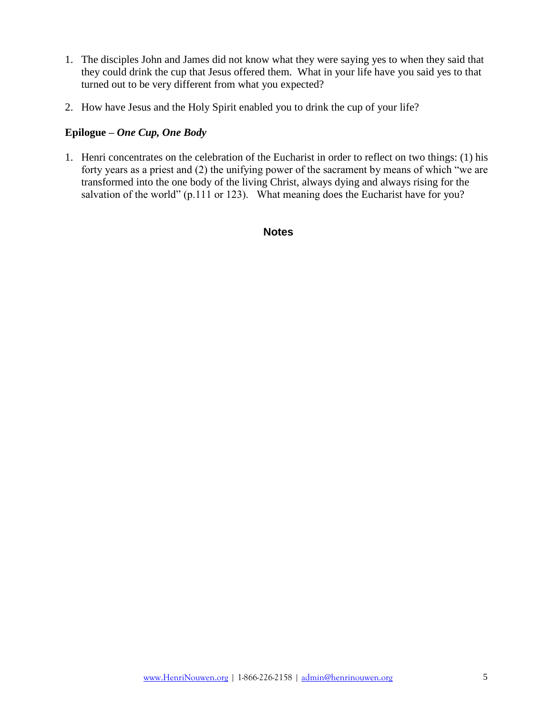- 1. The disciples John and James did not know what they were saying yes to when they said that they could drink the cup that Jesus offered them. What in your life have you said yes to that turned out to be very different from what you expected?
- 2. How have Jesus and the Holy Spirit enabled you to drink the cup of your life?

#### **Epilogue –** *One Cup, One Body*

1. Henri concentrates on the celebration of the Eucharist in order to reflect on two things: (1) his forty years as a priest and (2) the unifying power of the sacrament by means of which "we are transformed into the one body of the living Christ, always dying and always rising for the salvation of the world" (p.111 or 123). What meaning does the Eucharist have for you?

**Notes**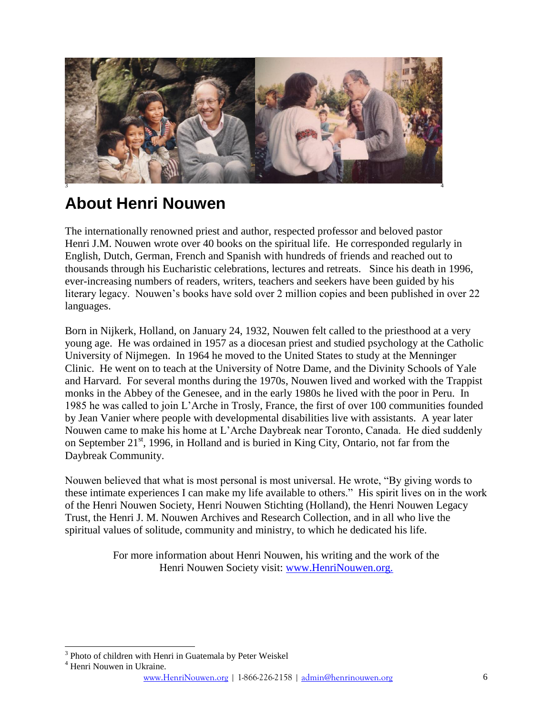

## **About Henri Nouwen**

The internationally renowned priest and author, respected professor and beloved pastor Henri J.M. Nouwen wrote over 40 books on the spiritual life. He corresponded regularly in English, Dutch, German, French and Spanish with hundreds of friends and reached out to thousands through his Eucharistic celebrations, lectures and retreats. Since his death in 1996, ever-increasing numbers of readers, writers, teachers and seekers have been guided by his literary legacy. Nouwen's books have sold over 2 million copies and been published in over 22 languages.

Born in Nijkerk, Holland, on January 24, 1932, Nouwen felt called to the priesthood at a very young age. He was ordained in 1957 as a diocesan priest and studied psychology at the Catholic University of Nijmegen. In 1964 he moved to the United States to study at the Menninger Clinic. He went on to teach at the University of Notre Dame, and the Divinity Schools of Yale and Harvard. For several months during the 1970s, Nouwen lived and worked with the Trappist monks in the Abbey of the Genesee, and in the early 1980s he lived with the poor in Peru. In 1985 he was called to join L'Arche in Trosly, France, the first of over 100 communities founded by Jean Vanier where people with developmental disabilities live with assistants. A year later Nouwen came to make his home at L'Arche Daybreak near Toronto, Canada. He died suddenly on September 21<sup>st</sup>, 1996, in Holland and is buried in King City, Ontario, not far from the Daybreak Community.

Nouwen believed that what is most personal is most universal. He wrote, "By giving words to these intimate experiences I can make my life available to others." His spirit lives on in the work of the Henri Nouwen Society, Henri Nouwen Stichting (Holland), the Henri Nouwen Legacy Trust, the Henri J. M. Nouwen Archives and Research Collection, and in all who live the spiritual values of solitude, community and ministry, to which he dedicated his life.

> For more information about Henri Nouwen, his writing and the work of the Henri Nouwen Society visit: [www.HenriNouwen.org.](http://www.henrinouwen.org/henri/about/)

 $\overline{a}$ <sup>3</sup> Photo of children with Henri in Guatemala by Peter Weiskel

<sup>4</sup> Henri Nouwen in Ukraine.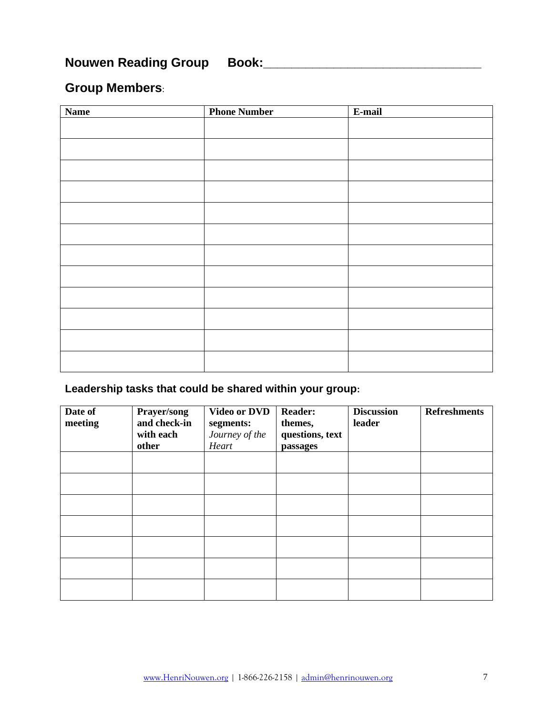## **Nouwen Reading Group Book:\_\_\_\_\_\_\_\_\_\_\_\_\_\_\_\_\_\_\_\_\_\_\_\_\_\_\_\_\_\_\_**

## **Group Members**:

| <b>Name</b> | <b>Phone Number</b> | E-mail |
|-------------|---------------------|--------|
|             |                     |        |
|             |                     |        |
|             |                     |        |
|             |                     |        |
|             |                     |        |
|             |                     |        |
|             |                     |        |
|             |                     |        |
|             |                     |        |
|             |                     |        |
|             |                     |        |
|             |                     |        |
|             |                     |        |

#### **Leadership tasks that could be shared within your group:**

| Date of<br>meeting | Prayer/song<br>and check-in<br>with each<br>other | <b>Video or DVD</b><br>segments:<br>Journey of the<br>Heart | <b>Reader:</b><br>themes,<br>questions, text<br>passages | <b>Discussion</b><br>leader | <b>Refreshments</b> |
|--------------------|---------------------------------------------------|-------------------------------------------------------------|----------------------------------------------------------|-----------------------------|---------------------|
|                    |                                                   |                                                             |                                                          |                             |                     |
|                    |                                                   |                                                             |                                                          |                             |                     |
|                    |                                                   |                                                             |                                                          |                             |                     |
|                    |                                                   |                                                             |                                                          |                             |                     |
|                    |                                                   |                                                             |                                                          |                             |                     |
|                    |                                                   |                                                             |                                                          |                             |                     |
|                    |                                                   |                                                             |                                                          |                             |                     |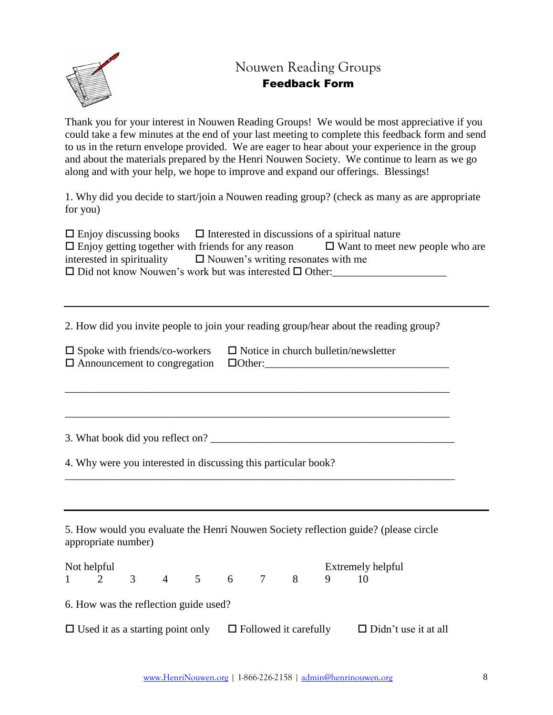

### Nouwen Reading Groups Feedback Form

Thank you for your interest in Nouwen Reading Groups! We would be most appreciative if you could take a few minutes at the end of your last meeting to complete this feedback form and send to us in the return envelope provided. We are eager to hear about your experience in the group and about the materials prepared by the Henri Nouwen Society. We continue to learn as we go along and with your help, we hope to improve and expand our offerings. Blessings!

1. Why did you decide to start/join a Nouwen reading group? (check as many as are appropriate for you)

| $\Box$ Enjoy discussing books $\Box$ Interested in discussions of a spiritual nature |                                        |
|--------------------------------------------------------------------------------------|----------------------------------------|
| $\Box$ Enjoy getting together with friends for any reason                            | $\Box$ Want to meet new people who are |
| interested in spirituality $\Box$ Nouwen's writing resonates with me                 |                                        |
| $\Box$ Did not know Nouwen's work but was interested $\Box$ Other:                   |                                        |

2. How did you invite people to join your reading group/hear about the reading group?

\_\_\_\_\_\_\_\_\_\_\_\_\_\_\_\_\_\_\_\_\_\_\_\_\_\_\_\_\_\_\_\_\_\_\_\_\_\_\_\_\_\_\_\_\_\_\_\_\_\_\_\_\_\_\_\_\_\_\_\_\_\_\_\_\_\_\_\_\_\_\_

| $\square$ Spoke with friends/co-workers           | $\Box$ Notice in church bulletin/newsletter |
|---------------------------------------------------|---------------------------------------------|
| $\Box$ Announcement to congregation $\Box$ Other: |                                             |

3. What book did you reflect on?

4. Why were you interested in discussing this particular book?

5. How would you evaluate the Henri Nouwen Society reflection guide? (please circle appropriate number)

\_\_\_\_\_\_\_\_\_\_\_\_\_\_\_\_\_\_\_\_\_\_\_\_\_\_\_\_\_\_\_\_\_\_\_\_\_\_\_\_\_\_\_\_\_\_\_\_\_\_\_\_\_\_\_\_\_\_\_\_\_\_\_\_\_\_\_\_\_\_\_\_

| Not helpful |             |                |                                                                      |  |  | Extremely helpful |                             |
|-------------|-------------|----------------|----------------------------------------------------------------------|--|--|-------------------|-----------------------------|
|             | $1 \quad 2$ | $\overline{3}$ | 4 5 6 7 8                                                            |  |  |                   |                             |
|             |             |                | 6. How was the reflection guide used?                                |  |  |                   |                             |
|             |             |                | $\Box$ Used it as a starting point only $\Box$ Followed it carefully |  |  |                   | $\Box$ Didn't use it at all |